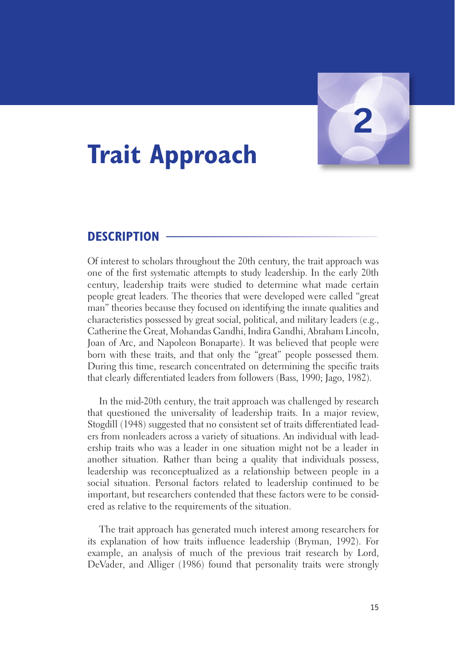# **2**

# **Trait Approach**

# **Description**

Of interest to scholars throughout the 20th century, the trait approach was one of the first systematic attempts to study leadership. In the early 20th century, leadership traits were studied to determine what made certain people great leaders. The theories that were developed were called "great man" theories because they focused on identifying the innate qualities and characteristics possessed by great social, political, and military leaders (e.g., Catherine the Great, Mohandas Gandhi, Indira Gandhi, Abraham Lincoln, Joan of Arc, and Napoleon Bonaparte). It was believed that people were born with these traits, and that only the "great" people possessed them. During this time, research concentrated on determining the specific traits that clearly differentiated leaders from followers (Bass, 1990; Jago, 1982).

In the mid-20th century, the trait approach was challenged by research that questioned the universality of leadership traits. In a major review, Stogdill (1948) suggested that no consistent set of traits differentiated leaders from nonleaders across a variety of situations. An individual with leadership traits who was a leader in one situation might not be a leader in another situation. Rather than being a quality that individuals possess, leadership was reconceptualized as a relationship between people in a social situation. Personal factors related to leadership continued to be important, but researchers contended that these factors were to be considered as relative to the requirements of the situation.

The trait approach has generated much interest among researchers for its explanation of how traits influence leadership (Bryman, 1992). For example, an analysis of much of the previous trait research by Lord, DeVader, and Alliger (1986) found that personality traits were strongly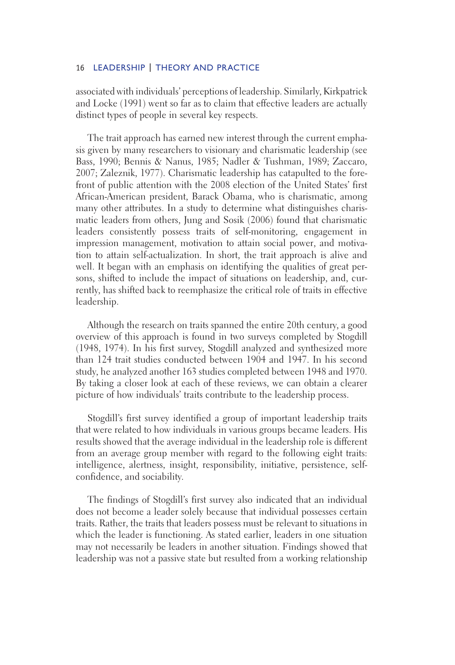associated with individuals' perceptions of leadership. Similarly, Kirkpatrick and Locke (1991) went so far as to claim that effective leaders are actually distinct types of people in several key respects.

The trait approach has earned new interest through the current emphasis given by many researchers to visionary and charismatic leadership (see Bass, 1990; Bennis & Nanus, 1985; Nadler & Tushman, 1989; Zaccaro, 2007; Zaleznik, 1977). Charismatic leadership has catapulted to the forefront of public attention with the 2008 election of the United States' first African-American president, Barack Obama, who is charismatic, among many other attributes. In a study to determine what distinguishes charismatic leaders from others, Jung and Sosik (2006) found that charismatic leaders consistently possess traits of self-monitoring, engagement in impression management, motivation to attain social power, and motivation to attain self-actualization. In short, the trait approach is alive and well. It began with an emphasis on identifying the qualities of great persons, shifted to include the impact of situations on leadership, and, currently, has shifted back to reemphasize the critical role of traits in effective leadership.

Although the research on traits spanned the entire 20th century, a good overview of this approach is found in two surveys completed by Stogdill (1948, 1974). In his first survey, Stogdill analyzed and synthesized more than 124 trait studies conducted between 1904 and 1947. In his second study, he analyzed another 163 studies completed between 1948 and 1970. By taking a closer look at each of these reviews, we can obtain a clearer picture of how individuals' traits contribute to the leadership process.

Stogdill's first survey identified a group of important leadership traits that were related to how individuals in various groups became leaders. His results showed that the average individual in the leadership role is different from an average group member with regard to the following eight traits: intelligence, alertness, insight, responsibility, initiative, persistence, selfconfidence, and sociability.

The findings of Stogdill's first survey also indicated that an individual does not become a leader solely because that individual possesses certain traits. Rather, the traits that leaders possess must be relevant to situations in which the leader is functioning. As stated earlier, leaders in one situation may not necessarily be leaders in another situation. Findings showed that leadership was not a passive state but resulted from a working relationship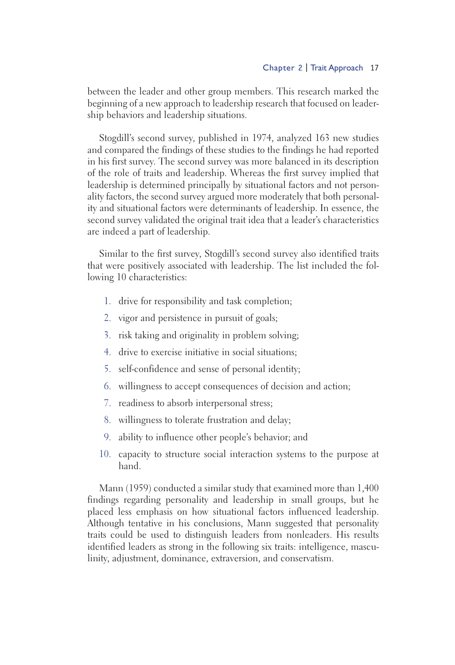between the leader and other group members. This research marked the beginning of a new approach to leadership research that focused on leadership behaviors and leadership situations.

Stogdill's second survey, published in 1974, analyzed 163 new studies and compared the findings of these studies to the findings he had reported in his first survey. The second survey was more balanced in its description of the role of traits and leadership. Whereas the first survey implied that leadership is determined principally by situational factors and not personality factors, the second survey argued more moderately that both personality and situational factors were determinants of leadership. In essence, the second survey validated the original trait idea that a leader's characteristics are indeed a part of leadership.

Similar to the first survey, Stogdill's second survey also identified traits that were positively associated with leadership. The list included the following 10 characteristics:

- 1. drive for responsibility and task completion;
- 2. vigor and persistence in pursuit of goals;
- 3. risk taking and originality in problem solving;
- 4. drive to exercise initiative in social situations;
- 5. self-confidence and sense of personal identity;
- 6. willingness to accept consequences of decision and action;
- 7. readiness to absorb interpersonal stress;
- 8. willingness to tolerate frustration and delay;
- 9. ability to influence other people's behavior; and
- 10. capacity to structure social interaction systems to the purpose at hand.

Mann (1959) conducted a similar study that examined more than 1,400 findings regarding personality and leadership in small groups, but he placed less emphasis on how situational factors influenced leadership. Although tentative in his conclusions, Mann suggested that personality traits could be used to distinguish leaders from nonleaders. His results identified leaders as strong in the following six traits: intelligence, masculinity, adjustment, dominance, extraversion, and conservatism.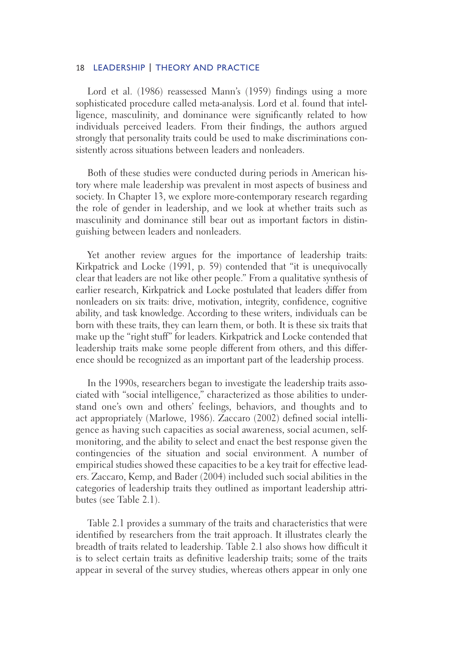Lord et al. (1986) reassessed Mann's (1959) findings using a more sophisticated procedure called meta-analysis. Lord et al. found that intelligence, masculinity, and dominance were significantly related to how individuals perceived leaders. From their findings, the authors argued strongly that personality traits could be used to make discriminations consistently across situations between leaders and nonleaders.

Both of these studies were conducted during periods in American history where male leadership was prevalent in most aspects of business and society. In Chapter 13, we explore more-contemporary research regarding the role of gender in leadership, and we look at whether traits such as masculinity and dominance still bear out as important factors in distinguishing between leaders and nonleaders.

Yet another review argues for the importance of leadership traits: Kirkpatrick and Locke (1991, p. 59) contended that "it is unequivocally clear that leaders are not like other people." From a qualitative synthesis of earlier research, Kirkpatrick and Locke postulated that leaders differ from nonleaders on six traits: drive, motivation, integrity, confidence, cognitive ability, and task knowledge. According to these writers, individuals can be born with these traits, they can learn them, or both. It is these six traits that make up the "right stuff" for leaders. Kirkpatrick and Locke contended that leadership traits make some people different from others, and this difference should be recognized as an important part of the leadership process.

In the 1990s, researchers began to investigate the leadership traits associated with "social intelligence," characterized as those abilities to understand one's own and others' feelings, behaviors, and thoughts and to act appropriately (Marlowe, 1986). Zaccaro (2002) defined social intelligence as having such capacities as social awareness, social acumen, selfmonitoring, and the ability to select and enact the best response given the contingencies of the situation and social environment. A number of empirical studies showed these capacities to be a key trait for effective leaders. Zaccaro, Kemp, and Bader (2004) included such social abilities in the categories of leadership traits they outlined as important leadership attributes (see Table 2.1).

Table 2.1 provides a summary of the traits and characteristics that were identified by researchers from the trait approach. It illustrates clearly the breadth of traits related to leadership. Table 2.1 also shows how difficult it is to select certain traits as definitive leadership traits; some of the traits appear in several of the survey studies, whereas others appear in only one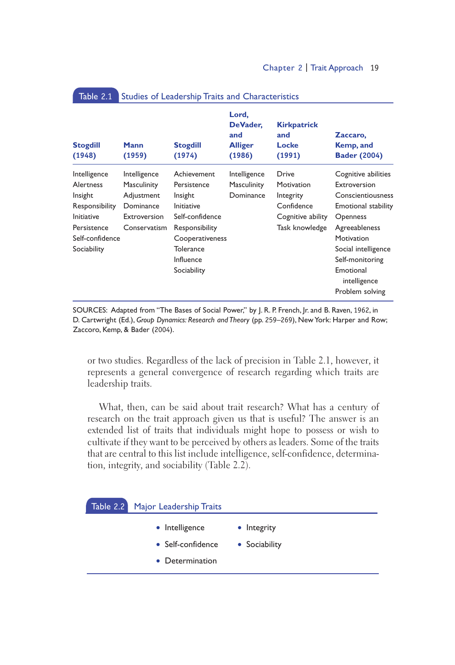| <b>Stogdill</b><br>(1948) | Mann<br>(1959) | <b>Stogdill</b><br>(1974) | Lord,<br>DeVader,<br>and<br><b>Alliger</b><br>(1986) | <b>Kirkpatrick</b><br>and<br>Locke<br>(1991) | Zaccaro,<br>Kemp, and<br><b>Bader (2004)</b> |
|---------------------------|----------------|---------------------------|------------------------------------------------------|----------------------------------------------|----------------------------------------------|
| Intelligence              | Intelligence   | Achievement               | Intelligence                                         | Drive                                        | Cognitive abilities                          |
| <b>Alertness</b>          | Masculinity    | Persistence               | Masculinity                                          | Motivation                                   | Extroversion                                 |
| Insight                   | Adjustment     | Insight                   | Dominance                                            | Integrity                                    | Conscientiousness                            |
| Responsibility            | Dominance      | Initiative                |                                                      | Confidence                                   | Emotional stability                          |
| Initiative                | Extroversion   | Self-confidence           |                                                      | Cognitive ability                            | Openness                                     |
| Persistence               | Conservatism   | Responsibility            |                                                      | Task knowledge                               | Agreeableness                                |
| Self-confidence           |                | Cooperativeness           |                                                      |                                              | Motivation                                   |
| Sociability               |                | Tolerance                 |                                                      |                                              | Social intelligence                          |
|                           |                | Influence                 |                                                      |                                              | Self-monitoring                              |
|                           |                | Sociability               |                                                      |                                              | Emotional<br>intelligence<br>Problem solving |

#### Table 2.1 Studies of Leadership Traits and Characteristics

SOURCES: Adapted from "The Bases of Social Power," by J. R. P. French, Jr. and B. Raven, 1962, in D. Cartwright (Ed.), *Group Dynamics: Research and Theory* (pp. 259–269), New York: Harper and Row; Zaccoro, Kemp, & Bader (2004).

or two studies. Regardless of the lack of precision in Table 2.1, however, it represents a general convergence of research regarding which traits are leadership traits.

What, then, can be said about trait research? What has a century of research on the trait approach given us that is useful? The answer is an extended list of traits that individuals might hope to possess or wish to cultivate if they want to be perceived by others as leaders. Some of the traits that are central to this list include intelligence, self-confidence, determination, integrity, and sociability (Table 2.2).

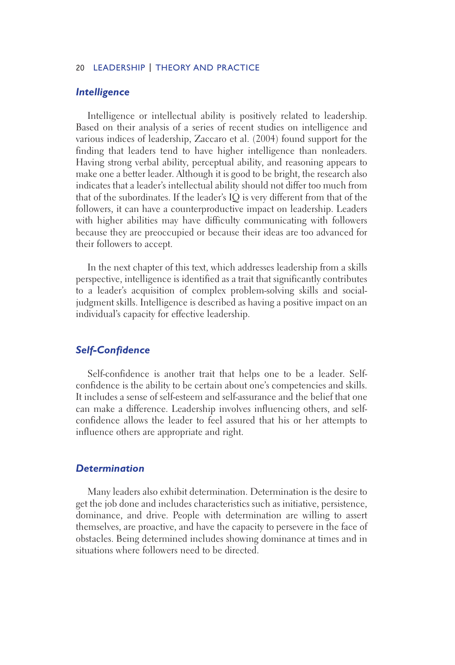#### *Intelligence*

Intelligence or intellectual ability is positively related to leadership. Based on their analysis of a series of recent studies on intelligence and various indices of leadership, Zaccaro et al. (2004) found support for the finding that leaders tend to have higher intelligence than nonleaders. Having strong verbal ability, perceptual ability, and reasoning appears to make one a better leader. Although it is good to be bright, the research also indicates that a leader's intellectual ability should not differ too much from that of the subordinates. If the leader's IQ is very different from that of the followers, it can have a counterproductive impact on leadership. Leaders with higher abilities may have difficulty communicating with followers because they are preoccupied or because their ideas are too advanced for their followers to accept.

In the next chapter of this text, which addresses leadership from a skills perspective, intelligence is identified as a trait that significantly contributes to a leader's acquisition of complex problem-solving skills and socialjudgment skills. Intelligence is described as having a positive impact on an individual's capacity for effective leadership.

#### *Self-Confidence*

Self-confidence is another trait that helps one to be a leader. Selfconfidence is the ability to be certain about one's competencies and skills. It includes a sense of self-esteem and self-assurance and the belief that one can make a difference. Leadership involves influencing others, and selfconfidence allows the leader to feel assured that his or her attempts to influence others are appropriate and right.

#### *Determination*

Many leaders also exhibit determination. Determination is the desire to get the job done and includes characteristics such as initiative, persistence, dominance, and drive. People with determination are willing to assert themselves, are proactive, and have the capacity to persevere in the face of obstacles. Being determined includes showing dominance at times and in situations where followers need to be directed.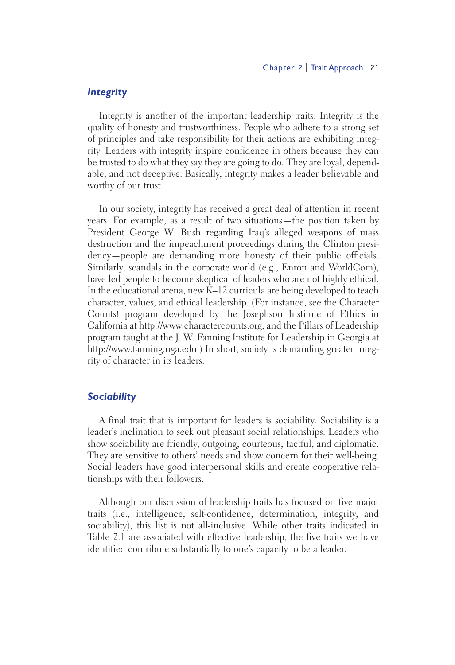# *Integrity*

Integrity is another of the important leadership traits. Integrity is the quality of honesty and trustworthiness. People who adhere to a strong set of principles and take responsibility for their actions are exhibiting integrity. Leaders with integrity inspire confidence in others because they can be trusted to do what they say they are going to do. They are loyal, dependable, and not deceptive. Basically, integrity makes a leader believable and worthy of our trust.

In our society, integrity has received a great deal of attention in recent years. For example, as a result of two situations—the position taken by President George W. Bush regarding Iraq's alleged weapons of mass destruction and the impeachment proceedings during the Clinton presidency—people are demanding more honesty of their public officials. Similarly, scandals in the corporate world (e.g., Enron and WorldCom), have led people to become skeptical of leaders who are not highly ethical. In the educational arena, new K–12 curricula are being developed to teach character, values, and ethical leadership. (For instance, see the Character Counts! program developed by the Josephson Institute of Ethics in California at http://www.charactercounts.org, and the Pillars of Leadership program taught at the J. W. Fanning Institute for Leadership in Georgia at http://www.fanning.uga.edu.) In short, society is demanding greater integrity of character in its leaders.

#### *Sociability*

A final trait that is important for leaders is sociability. Sociability is a leader's inclination to seek out pleasant social relationships. Leaders who show sociability are friendly, outgoing, courteous, tactful, and diplomatic. They are sensitive to others' needs and show concern for their well-being. Social leaders have good interpersonal skills and create cooperative relationships with their followers.

Although our discussion of leadership traits has focused on five major traits (i.e., intelligence, self-confidence, determination, integrity, and sociability), this list is not all-inclusive. While other traits indicated in Table 2.1 are associated with effective leadership, the five traits we have identified contribute substantially to one's capacity to be a leader.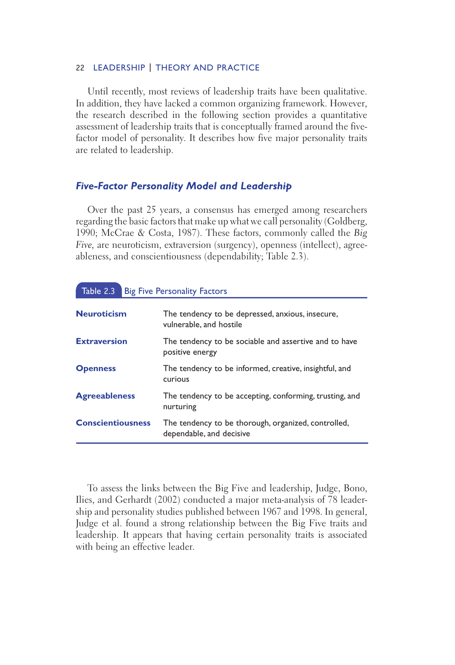Until recently, most reviews of leadership traits have been qualitative. In addition, they have lacked a common organizing framework. However, the research described in the following section provides a quantitative assessment of leadership traits that is conceptually framed around the fivefactor model of personality. It describes how five major personality traits are related to leadership.

#### *Five-Factor Personality Model and Leadership*

Over the past 25 years, a consensus has emerged among researchers regarding the basic factors that make up what we call personality (Goldberg, 1990; McCrae & Costa, 1987). These factors, commonly called the *Big Five,* are neuroticism, extraversion (surgency), openness (intellect), agreeableness, and conscientiousness (dependability; Table 2.3).

#### Table 2.3 Big Five Personality Factors

| <b>Neuroticism</b>       | The tendency to be depressed, anxious, insecure,<br>vulnerable, and hostile     |
|--------------------------|---------------------------------------------------------------------------------|
| <b>Extraversion</b>      | The tendency to be sociable and assertive and to have<br>positive energy        |
| <b>Openness</b>          | The tendency to be informed, creative, insightful, and<br>curious               |
| <b>Agreeableness</b>     | The tendency to be accepting, conforming, trusting, and<br>nurturing            |
| <b>Conscientiousness</b> | The tendency to be thorough, organized, controlled,<br>dependable, and decisive |

To assess the links between the Big Five and leadership, Judge, Bono, Ilies, and Gerhardt (2002) conducted a major meta-analysis of 78 leadership and personality studies published between 1967 and 1998. In general, Judge et al. found a strong relationship between the Big Five traits and leadership. It appears that having certain personality traits is associated with being an effective leader.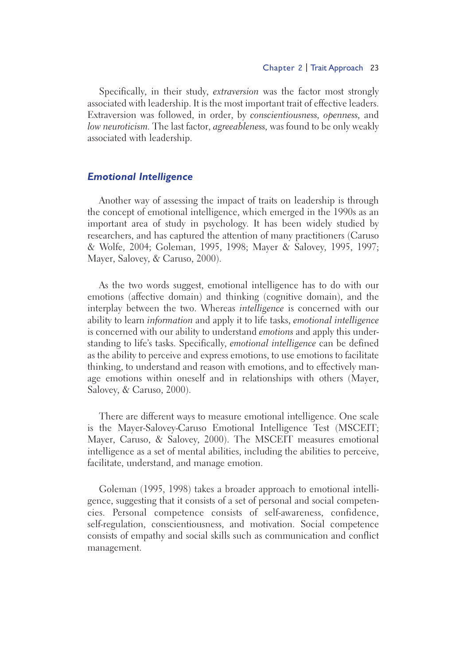Specifically, in their study, *extraversion* was the factor most strongly associated with leadership. It is the most important trait of effective leaders. Extraversion was followed, in order, by *conscientiousness, openness,* and *low neuroticism.* The last factor, *agreeableness,* was found to be only weakly associated with leadership.

#### *Emotional Intelligence*

Another way of assessing the impact of traits on leadership is through the concept of emotional intelligence, which emerged in the 1990s as an important area of study in psychology. It has been widely studied by researchers, and has captured the attention of many practitioners (Caruso & Wolfe, 2004; Goleman, 1995, 1998; Mayer & Salovey, 1995, 1997; Mayer, Salovey, & Caruso, 2000).

As the two words suggest, emotional intelligence has to do with our emotions (affective domain) and thinking (cognitive domain), and the interplay between the two. Whereas *intelligence* is concerned with our ability to learn *information* and apply it to life tasks, *emotional intelligence* is concerned with our ability to understand *emotions* and apply this understanding to life's tasks. Specifically, *emotional intelligence* can be defined as the ability to perceive and express emotions, to use emotions to facilitate thinking, to understand and reason with emotions, and to effectively manage emotions within oneself and in relationships with others (Mayer, Salovey, & Caruso, 2000).

There are different ways to measure emotional intelligence. One scale is the Mayer-Salovey-Caruso Emotional Intelligence Test (MSCEIT; Mayer, Caruso, & Salovey, 2000). The MSCEIT measures emotional intelligence as a set of mental abilities, including the abilities to perceive, facilitate, understand, and manage emotion.

Goleman (1995, 1998) takes a broader approach to emotional intelligence, suggesting that it consists of a set of personal and social competencies. Personal competence consists of self-awareness, confidence, self-regulation, conscientiousness, and motivation. Social competence consists of empathy and social skills such as communication and conflict management.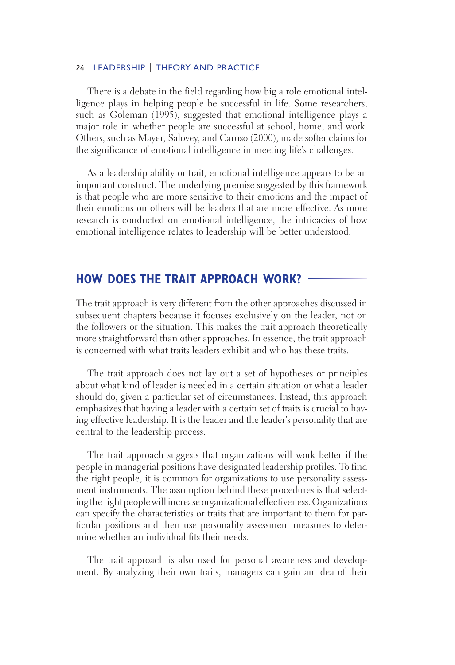There is a debate in the field regarding how big a role emotional intelligence plays in helping people be successful in life. Some researchers, such as Goleman (1995), suggested that emotional intelligence plays a major role in whether people are successful at school, home, and work. Others, such as Mayer, Salovey, and Caruso (2000), made softer claims for the significance of emotional intelligence in meeting life's challenges.

As a leadership ability or trait, emotional intelligence appears to be an important construct. The underlying premise suggested by this framework is that people who are more sensitive to their emotions and the impact of their emotions on others will be leaders that are more effective. As more research is conducted on emotional intelligence, the intricacies of how emotional intelligence relates to leadership will be better understood.

# **How Does the Trait Approach Work?**

The trait approach is very different from the other approaches discussed in subsequent chapters because it focuses exclusively on the leader, not on the followers or the situation. This makes the trait approach theoretically more straightforward than other approaches. In essence, the trait approach is concerned with what traits leaders exhibit and who has these traits.

The trait approach does not lay out a set of hypotheses or principles about what kind of leader is needed in a certain situation or what a leader should do, given a particular set of circumstances. Instead, this approach emphasizes that having a leader with a certain set of traits is crucial to having effective leadership. It is the leader and the leader's personality that are central to the leadership process.

The trait approach suggests that organizations will work better if the people in managerial positions have designated leadership profiles. To find the right people, it is common for organizations to use personality assessment instruments. The assumption behind these procedures is that selecting the right people will increase organizational effectiveness. Organizations can specify the characteristics or traits that are important to them for particular positions and then use personality assessment measures to determine whether an individual fits their needs.

The trait approach is also used for personal awareness and development. By analyzing their own traits, managers can gain an idea of their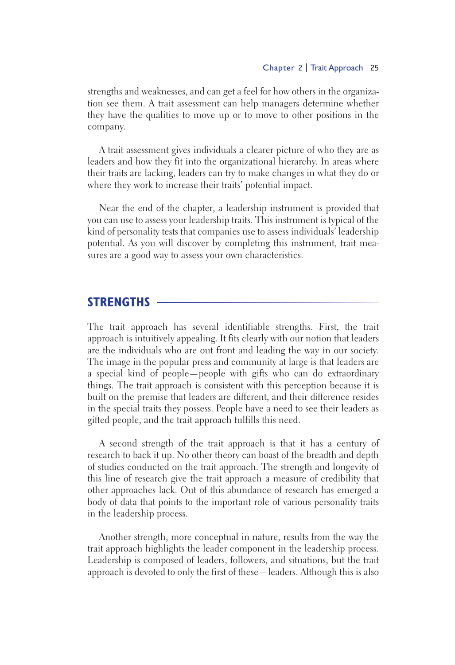strengths and weaknesses, and can get a feel for how others in the organization see them. A trait assessment can help managers determine whether they have the qualities to move up or to move to other positions in the company.

A trait assessment gives individuals a clearer picture of who they are as leaders and how they fit into the organizational hierarchy. In areas where their traits are lacking, leaders can try to make changes in what they do or where they work to increase their traits' potential impact.

Near the end of the chapter, a leadership instrument is provided that you can use to assess your leadership traits. This instrument is typical of the kind of personality tests that companies use to assess individuals' leadership potential. As you will discover by completing this instrument, trait measures are a good way to assess your own characteristics.

# **Strengths**

The trait approach has several identifiable strengths. First, the trait approach is intuitively appealing. It fits clearly with our notion that leaders are the individuals who are out front and leading the way in our society. The image in the popular press and community at large is that leaders are a special kind of people—people with gifts who can do extraordinary things. The trait approach is consistent with this perception because it is built on the premise that leaders are different, and their difference resides in the special traits they possess. People have a need to see their leaders as gifted people, and the trait approach fulfills this need.

A second strength of the trait approach is that it has a century of research to back it up. No other theory can boast of the breadth and depth of studies conducted on the trait approach. The strength and longevity of this line of research give the trait approach a measure of credibility that other approaches lack. Out of this abundance of research has emerged a body of data that points to the important role of various personality traits in the leadership process.

Another strength, more conceptual in nature, results from the way the trait approach highlights the leader component in the leadership process. Leadership is composed of leaders, followers, and situations, but the trait approach is devoted to only the first of these—leaders. Although this is also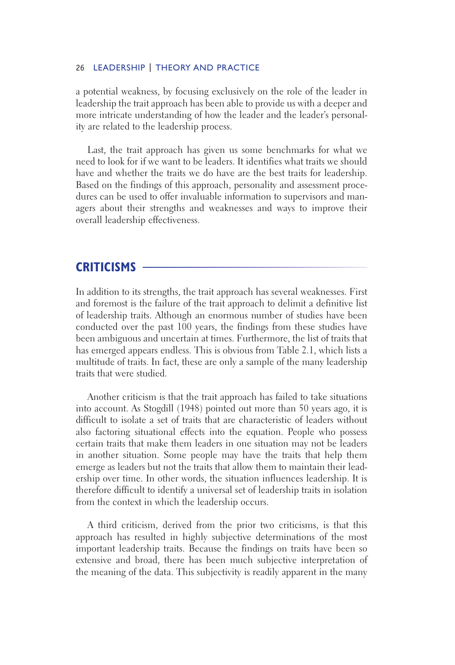a potential weakness, by focusing exclusively on the role of the leader in leadership the trait approach has been able to provide us with a deeper and more intricate understanding of how the leader and the leader's personality are related to the leadership process.

Last, the trait approach has given us some benchmarks for what we need to look for if we want to be leaders. It identifies what traits we should have and whether the traits we do have are the best traits for leadership. Based on the findings of this approach, personality and assessment procedures can be used to offer invaluable information to supervisors and managers about their strengths and weaknesses and ways to improve their overall leadership effectiveness.

# **Criticisms**

In addition to its strengths, the trait approach has several weaknesses. First and foremost is the failure of the trait approach to delimit a definitive list of leadership traits. Although an enormous number of studies have been conducted over the past 100 years, the findings from these studies have been ambiguous and uncertain at times. Furthermore, the list of traits that has emerged appears endless. This is obvious from Table 2.1, which lists a multitude of traits. In fact, these are only a sample of the many leadership traits that were studied.

Another criticism is that the trait approach has failed to take situations into account. As Stogdill (1948) pointed out more than 50 years ago, it is difficult to isolate a set of traits that are characteristic of leaders without also factoring situational effects into the equation. People who possess certain traits that make them leaders in one situation may not be leaders in another situation. Some people may have the traits that help them emerge as leaders but not the traits that allow them to maintain their leadership over time. In other words, the situation influences leadership. It is therefore difficult to identify a universal set of leadership traits in isolation from the context in which the leadership occurs.

A third criticism, derived from the prior two criticisms, is that this approach has resulted in highly subjective determinations of the most important leadership traits. Because the findings on traits have been so extensive and broad, there has been much subjective interpretation of the meaning of the data. This subjectivity is readily apparent in the many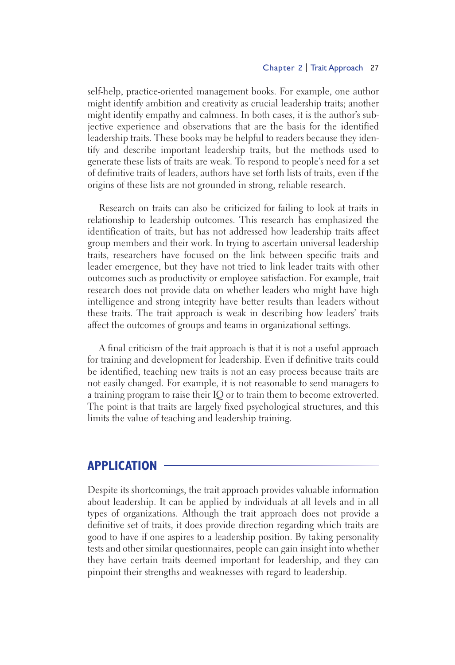self-help, practice-oriented management books. For example, one author might identify ambition and creativity as crucial leadership traits; another might identify empathy and calmness. In both cases, it is the author's subjective experience and observations that are the basis for the identified leadership traits. These books may be helpful to readers because they identify and describe important leadership traits, but the methods used to generate these lists of traits are weak. To respond to people's need for a set of definitive traits of leaders, authors have set forth lists of traits, even if the origins of these lists are not grounded in strong, reliable research.

Research on traits can also be criticized for failing to look at traits in relationship to leadership outcomes. This research has emphasized the identification of traits, but has not addressed how leadership traits affect group members and their work. In trying to ascertain universal leadership traits, researchers have focused on the link between specific traits and leader emergence, but they have not tried to link leader traits with other outcomes such as productivity or employee satisfaction. For example, trait research does not provide data on whether leaders who might have high intelligence and strong integrity have better results than leaders without these traits. The trait approach is weak in describing how leaders' traits affect the outcomes of groups and teams in organizational settings.

A final criticism of the trait approach is that it is not a useful approach for training and development for leadership. Even if definitive traits could be identified, teaching new traits is not an easy process because traits are not easily changed. For example, it is not reasonable to send managers to a training program to raise their IQ or to train them to become extroverted. The point is that traits are largely fixed psychological structures, and this limits the value of teaching and leadership training.

# **Application**

Despite its shortcomings, the trait approach provides valuable information about leadership. It can be applied by individuals at all levels and in all types of organizations. Although the trait approach does not provide a definitive set of traits, it does provide direction regarding which traits are good to have if one aspires to a leadership position. By taking personality tests and other similar questionnaires, people can gain insight into whether they have certain traits deemed important for leadership, and they can pinpoint their strengths and weaknesses with regard to leadership.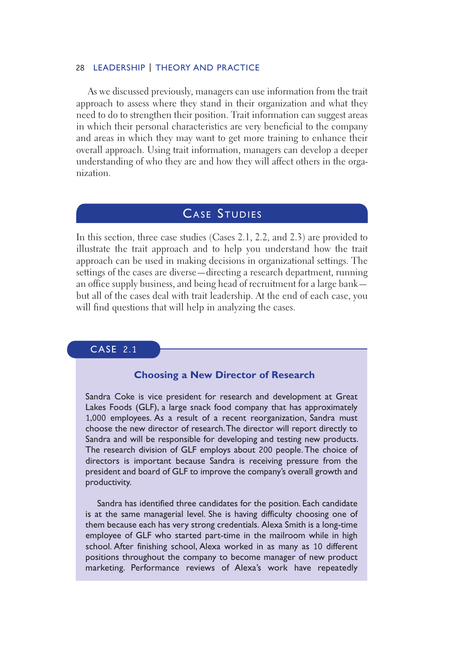As we discussed previously, managers can use information from the trait approach to assess where they stand in their organization and what they need to do to strengthen their position. Trait information can suggest areas in which their personal characteristics are very beneficial to the company and areas in which they may want to get more training to enhance their overall approach. Using trait information, managers can develop a deeper understanding of who they are and how they will affect others in the organization.

# CASE STUDIES

In this section, three case studies (Cases 2.1, 2.2, and 2.3) are provided to illustrate the trait approach and to help you understand how the trait approach can be used in making decisions in organizational settings. The settings of the cases are diverse—directing a research department, running an office supply business, and being head of recruitment for a large bank but all of the cases deal with trait leadership. At the end of each case, you will find questions that will help in analyzing the cases.

#### Case 2.1

#### **Choosing a New Director of Research**

Sandra Coke is vice president for research and development at Great Lakes Foods (GLF), a large snack food company that has approximately 1,000 employees. As a result of a recent reorganization, Sandra must choose the new director of research. The director will report directly to Sandra and will be responsible for developing and testing new products. The research division of GLF employs about 200 people. The choice of directors is important because Sandra is receiving pressure from the president and board of GLF to improve the company's overall growth and productivity.

Sandra has identified three candidates for the position. Each candidate is at the same managerial level. She is having difficulty choosing one of them because each has very strong credentials. Alexa Smith is a long-time employee of GLF who started part-time in the mailroom while in high school. After finishing school, Alexa worked in as many as 10 different positions throughout the company to become manager of new product marketing. Performance reviews of Alexa's work have repeatedly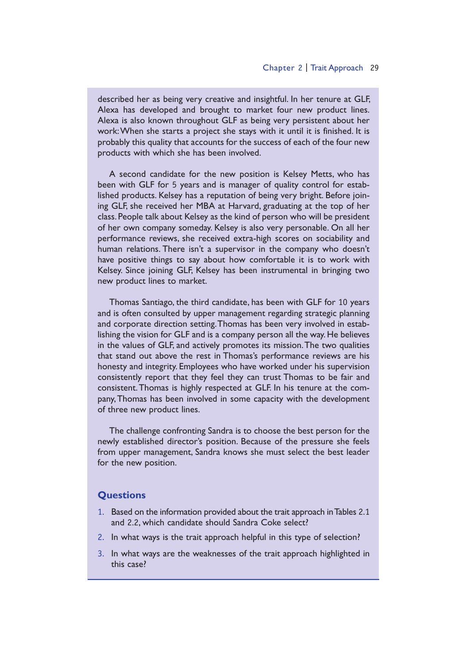described her as being very creative and insightful. In her tenure at GLF, Alexa has developed and brought to market four new product lines. Alexa is also known throughout GLF as being very persistent about her work: When she starts a project she stays with it until it is finished. It is probably this quality that accounts for the success of each of the four new products with which she has been involved.

A second candidate for the new position is Kelsey Metts, who has been with GLF for 5 years and is manager of quality control for established products. Kelsey has a reputation of being very bright. Before joining GLF, she received her MBA at Harvard, graduating at the top of her class. People talk about Kelsey as the kind of person who will be president of her own company someday. Kelsey is also very personable. On all her performance reviews, she received extra-high scores on sociability and human relations. There isn't a supervisor in the company who doesn't have positive things to say about how comfortable it is to work with Kelsey. Since joining GLF, Kelsey has been instrumental in bringing two new product lines to market.

Thomas Santiago, the third candidate, has been with GLF for 10 years and is often consulted by upper management regarding strategic planning and corporate direction setting. Thomas has been very involved in establishing the vision for GLF and is a company person all the way. He believes in the values of GLF, and actively promotes its mission. The two qualities that stand out above the rest in Thomas's performance reviews are his honesty and integrity. Employees who have worked under his supervision consistently report that they feel they can trust Thomas to be fair and consistent. Thomas is highly respected at GLF. In his tenure at the company, Thomas has been involved in some capacity with the development of three new product lines.

The challenge confronting Sandra is to choose the best person for the newly established director's position. Because of the pressure she feels from upper management, Sandra knows she must select the best leader for the new position.

#### **Questions**

- 1. Based on the information provided about the trait approach in Tables 2.1 and 2.2, which candidate should Sandra Coke select?
- 2. In what ways is the trait approach helpful in this type of selection?
- 3. In what ways are the weaknesses of the trait approach highlighted in this case?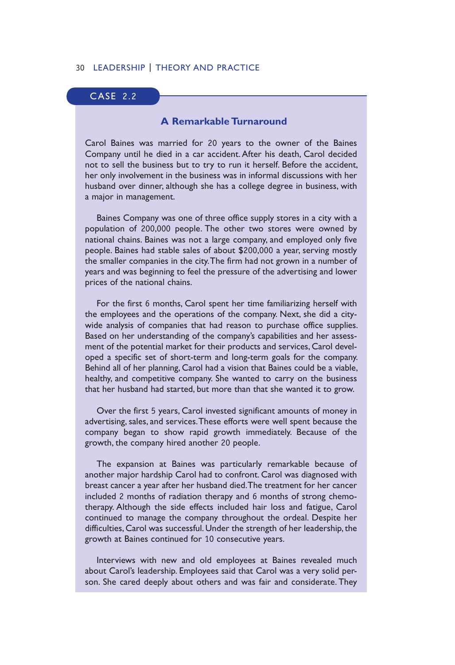# Case 2.2

#### **A Remarkable Turnaround**

Carol Baines was married for 20 years to the owner of the Baines Company until he died in a car accident. After his death, Carol decided not to sell the business but to try to run it herself. Before the accident, her only involvement in the business was in informal discussions with her husband over dinner, although she has a college degree in business, with a major in management.

Baines Company was one of three office supply stores in a city with a population of 200,000 people. The other two stores were owned by national chains. Baines was not a large company, and employed only five people. Baines had stable sales of about \$200,000 a year, serving mostly the smaller companies in the city. The firm had not grown in a number of years and was beginning to feel the pressure of the advertising and lower prices of the national chains.

For the first 6 months, Carol spent her time familiarizing herself with the employees and the operations of the company. Next, she did a citywide analysis of companies that had reason to purchase office supplies. Based on her understanding of the company's capabilities and her assessment of the potential market for their products and services, Carol developed a specific set of short-term and long-term goals for the company. Behind all of her planning, Carol had a vision that Baines could be a viable, healthy, and competitive company. She wanted to carry on the business that her husband had started, but more than that she wanted it to grow.

Over the first 5 years, Carol invested significant amounts of money in advertising, sales, and services. These efforts were well spent because the company began to show rapid growth immediately. Because of the growth, the company hired another 20 people.

The expansion at Baines was particularly remarkable because of another major hardship Carol had to confront. Carol was diagnosed with breast cancer a year after her husband died. The treatment for her cancer included 2 months of radiation therapy and 6 months of strong chemotherapy. Although the side effects included hair loss and fatigue, Carol continued to manage the company throughout the ordeal. Despite her difficulties, Carol was successful. Under the strength of her leadership, the growth at Baines continued for 10 consecutive years.

Interviews with new and old employees at Baines revealed much about Carol's leadership. Employees said that Carol was a very solid person. She cared deeply about others and was fair and considerate. They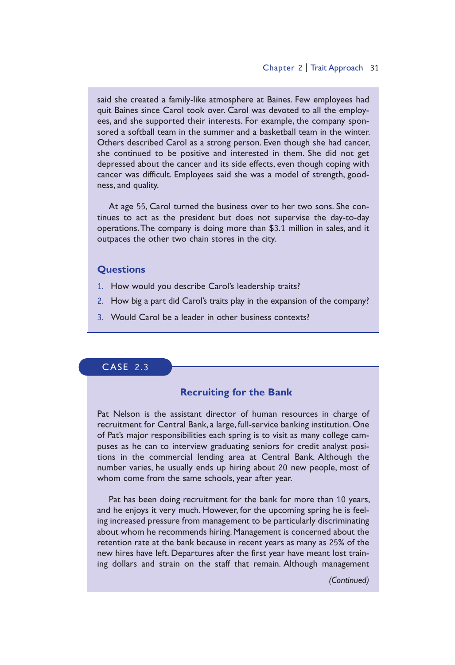said she created a family-like atmosphere at Baines. Few employees had quit Baines since Carol took over. Carol was devoted to all the employees, and she supported their interests. For example, the company sponsored a softball team in the summer and a basketball team in the winter. Others described Carol as a strong person. Even though she had cancer, she continued to be positive and interested in them. She did not get depressed about the cancer and its side effects, even though coping with cancer was difficult. Employees said she was a model of strength, goodness, and quality.

At age 55, Carol turned the business over to her two sons. She continues to act as the president but does not supervise the day-to-day operations. The company is doing more than \$3.1 million in sales, and it outpaces the other two chain stores in the city.

#### **Questions**

- 1. How would you describe Carol's leadership traits?
- 2. How big a part did Carol's traits play in the expansion of the company?
- 3. Would Carol be a leader in other business contexts?

#### Case 2.3

#### **Recruiting for the Bank**

Pat Nelson is the assistant director of human resources in charge of recruitment for Central Bank, a large, full-service banking institution. One of Pat's major responsibilities each spring is to visit as many college campuses as he can to interview graduating seniors for credit analyst positions in the commercial lending area at Central Bank. Although the number varies, he usually ends up hiring about 20 new people, most of whom come from the same schools, year after year.

Pat has been doing recruitment for the bank for more than 10 years, and he enjoys it very much. However, for the upcoming spring he is feeling increased pressure from management to be particularly discriminating about whom he recommends hiring. Management is concerned about the retention rate at the bank because in recent years as many as 25% of the new hires have left. Departures after the first year have meant lost training dollars and strain on the staff that remain. Although management

*(Continued)*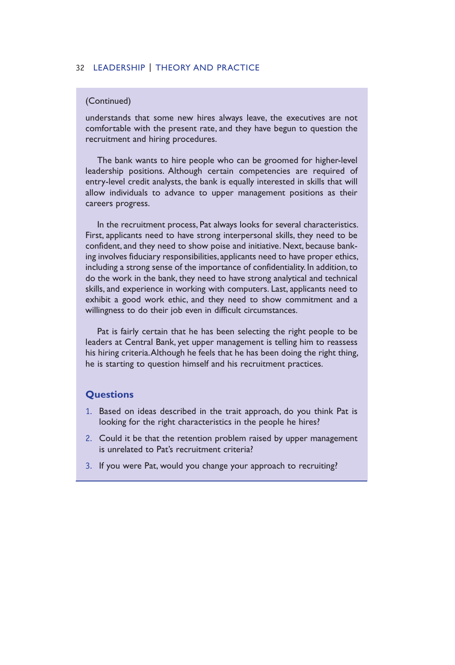#### 32 Leadership Theory and Practice

#### (Continued)

understands that some new hires always leave, the executives are not comfortable with the present rate, and they have begun to question the recruitment and hiring procedures.

The bank wants to hire people who can be groomed for higher-level leadership positions. Although certain competencies are required of entry-level credit analysts, the bank is equally interested in skills that will allow individuals to advance to upper management positions as their careers progress.

In the recruitment process, Pat always looks for several characteristics. First, applicants need to have strong interpersonal skills, they need to be confident, and they need to show poise and initiative. Next, because banking involves fiduciary responsibilities, applicants need to have proper ethics, including a strong sense of the importance of confidentiality. In addition, to do the work in the bank, they need to have strong analytical and technical skills, and experience in working with computers. Last, applicants need to exhibit a good work ethic, and they need to show commitment and a willingness to do their job even in difficult circumstances.

Pat is fairly certain that he has been selecting the right people to be leaders at Central Bank, yet upper management is telling him to reassess his hiring criteria. Although he feels that he has been doing the right thing, he is starting to question himself and his recruitment practices.

#### **Questions**

- 1. Based on ideas described in the trait approach, do you think Pat is looking for the right characteristics in the people he hires?
- 2. Could it be that the retention problem raised by upper management is unrelated to Pat's recruitment criteria?
- 3. If you were Pat, would you change your approach to recruiting?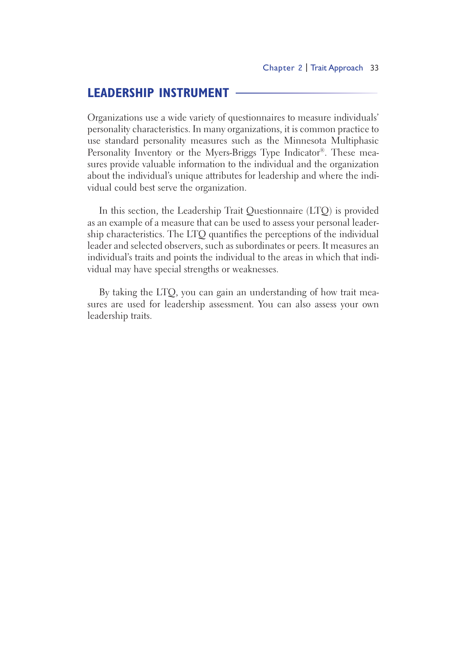# **Leadership Instrument**

Organizations use a wide variety of questionnaires to measure individuals' personality characteristics. In many organizations, it is common practice to use standard personality measures such as the Minnesota Multiphasic Personality Inventory or the Myers-Briggs Type Indicator®. These measures provide valuable information to the individual and the organization about the individual's unique attributes for leadership and where the individual could best serve the organization.

In this section, the Leadership Trait Questionnaire (LTQ) is provided as an example of a measure that can be used to assess your personal leadership characteristics. The LTQ quantifies the perceptions of the individual leader and selected observers, such as subordinates or peers. It measures an individual's traits and points the individual to the areas in which that individual may have special strengths or weaknesses.

By taking the LTQ, you can gain an understanding of how trait measures are used for leadership assessment. You can also assess your own leadership traits.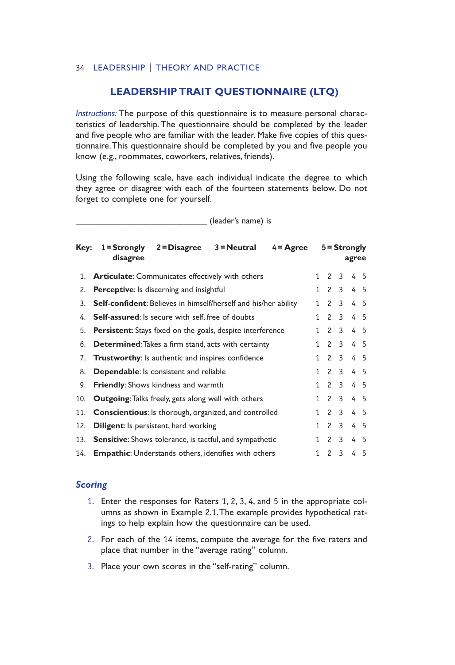#### **Leadership Trait Questionnaire (LTQ)**

*Instructions:* The purpose of this questionnaire is to measure personal characteristics of leadership. The questionnaire should be completed by the leader and five people who are familiar with the leader. Make five copies of this questionnaire. This questionnaire should be completed by you and five people you know (e.g., roommates, coworkers, relatives, friends).

Using the following scale, have each individual indicate the degree to which they agree or disagree with each of the fourteen statements below. Do not forget to complete one for yourself.

\_\_\_\_\_\_\_\_\_\_\_\_\_\_\_\_\_\_\_\_\_\_\_\_\_\_\_\_\_\_ (leader's name) is

| Key: | $1 =$ Strongly<br>disagree                                             | $2 = Disagree$ | $3 =$ Neutral | $4 = \text{Agree}$ |              |                     |                 | $5 =$ Strongly<br>agree |     |
|------|------------------------------------------------------------------------|----------------|---------------|--------------------|--------------|---------------------|-----------------|-------------------------|-----|
| 1.   | <b>Articulate:</b> Communicates effectively with others                |                |               |                    |              |                     | $1\quad2\quad3$ | 4 <sub>5</sub>          |     |
| 2.   | <b>Perceptive:</b> Is discerning and insightful                        |                |               |                    |              | 2 <sup>3</sup>      |                 | 4 <sub>5</sub>          |     |
| 3.   | <b>Self-confident:</b> Believes in himself/herself and his/her ability |                |               |                    |              |                     | $2 \quad 3$     | 4 <sub>5</sub>          |     |
| 4.   | <b>Self-assured:</b> Is secure with self, free of doubts               |                |               |                    | $\mathbf{1}$ |                     | 2 <sup>3</sup>  | 4 <sub>5</sub>          |     |
| 5.   | <b>Persistent:</b> Stays fixed on the goals, despite interference      |                |               |                    | 1            | 2                   | 3               | 4 5                     |     |
| 6.   | Determined: Takes a firm stand, acts with certainty                    |                |               |                    | 1            |                     | 2 <sup>3</sup>  | 4 <sub>5</sub>          |     |
| 7.   | <b>Trustworthy:</b> Is authentic and inspires confidence               |                |               |                    |              | $1 \quad 2 \quad 3$ |                 | 4 <sub>5</sub>          |     |
| 8.   | <b>Dependable:</b> Is consistent and reliable                          |                |               |                    | $\mathbf{1}$ |                     | 2 <sup>3</sup>  | 4 <sub>5</sub>          |     |
| 9.   | <b>Friendly:</b> Shows kindness and warmth                             |                |               |                    |              |                     | $2 \quad 3$     | 4 <sub>5</sub>          |     |
| 10.  | <b>Outgoing:</b> Talks freely, gets along well with others             |                |               |                    | $\mathbf{1}$ | $\overline{2}$      | $\overline{3}$  | 4 <sub>5</sub>          |     |
| 11.  | <b>Conscientious:</b> Is thorough, organized, and controlled           |                |               |                    |              | $\mathbf{2}$        | $\overline{3}$  | 4 <sub>5</sub>          |     |
| 12.  | <b>Diligent:</b> Is persistent, hard working                           |                |               |                    | $\mathbf{1}$ |                     | 2 <sup>3</sup>  | 4 <sub>5</sub>          |     |
| 13.  | <b>Sensitive:</b> Shows tolerance, is tactful, and sympathetic         |                |               |                    |              | $\mathcal{P}$       | 3               | 4                       | - 5 |
| 14.  | <b>Empathic:</b> Understands others, identifies with others            |                |               |                    | 1            | $\mathcal{P}$       | 3               | 4 <sub>5</sub>          |     |

#### *Scoring*

- 1. Enter the responses for Raters 1, 2, 3, 4, and 5 in the appropriate columns as shown in Example 2.1. The example provides hypothetical ratings to help explain how the questionnaire can be used.
- 2. For each of the 14 items, compute the average for the five raters and place that number in the "average rating" column.
- 3. Place your own scores in the "self-rating" column.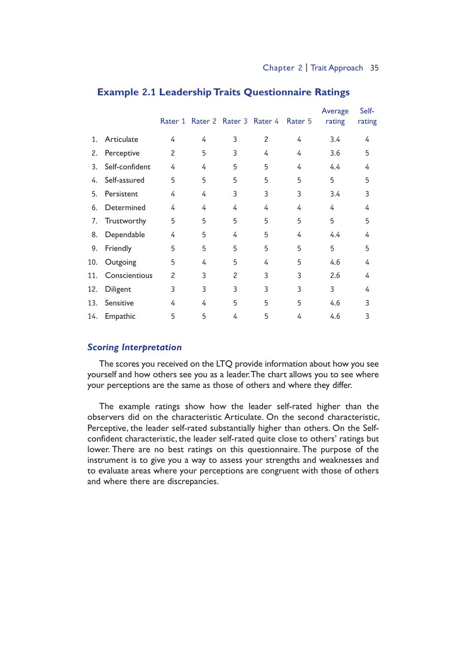|     |                | Rater 1        |   |                | Rater 2 Rater 3 Rater 4 Rater 5 |   | Average<br>rating | Self-<br>rating |
|-----|----------------|----------------|---|----------------|---------------------------------|---|-------------------|-----------------|
| 1.  | Articulate     | 4              | 4 | 3              | $\overline{c}$                  | 4 | 3.4               | 4               |
| 2.  | Perceptive     | $\overline{c}$ | 5 | 3              | 4                               | 4 | 3.6               | 5               |
| 3.  | Self-confident | 4              | 4 | 5              | 5                               | 4 | 4.4               | 4               |
| 4.  | Self-assured   | 5              | 5 | 5              | 5                               | 5 | 5                 | 5               |
| 5.  | Persistent     | 4              | 4 | 3              | 3                               | 3 | 3.4               | 3               |
| 6.  | Determined     | 4              | 4 | 4              | 4                               | 4 | 4                 | 4               |
| 7.  | Trustworthy    | 5              | 5 | 5              | 5                               | 5 | 5                 | 5               |
| 8.  | Dependable     | 4              | 5 | 4              | 5                               | 4 | 4.4               | 4               |
| 9.  | Friendly       | 5              | 5 | 5              | 5                               | 5 | 5                 | 5               |
| 10. | Outgoing       | 5              | 4 | 5              | 4                               | 5 | 4.6               | 4               |
| 11. | Conscientious  | $\overline{c}$ | 3 | $\overline{c}$ | 3                               | 3 | 2.6               | 4               |
| 12. | Diligent       | 3              | 3 | 3              | 3                               | 3 | 3                 | 4               |
| 13. | Sensitive      | 4              | 4 | 5              | 5                               | 5 | 4.6               | 3               |
| 14. | Empathic       | 5              | 5 | 4              | 5                               | 4 | 4.6               | 3               |
|     |                |                |   |                |                                 |   |                   |                 |

### **Example 2.1 Leadership Traits Questionnaire Ratings**

#### *Scoring Interpretation*

The scores you received on the LTQ provide information about how you see yourself and how others see you as a leader. The chart allows you to see where your perceptions are the same as those of others and where they differ.

The example ratings show how the leader self-rated higher than the observers did on the characteristic Articulate. On the second characteristic, Perceptive, the leader self-rated substantially higher than others. On the Selfconfident characteristic, the leader self-rated quite close to others' ratings but lower. There are no best ratings on this questionnaire. The purpose of the instrument is to give you a way to assess your strengths and weaknesses and to evaluate areas where your perceptions are congruent with those of others and where there are discrepancies.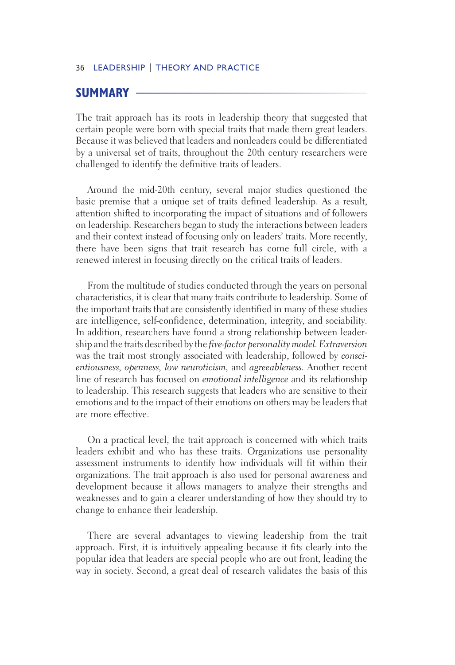# **Summary**

The trait approach has its roots in leadership theory that suggested that certain people were born with special traits that made them great leaders. Because it was believed that leaders and nonleaders could be differentiated by a universal set of traits, throughout the 20th century researchers were challenged to identify the definitive traits of leaders.

Around the mid-20th century, several major studies questioned the basic premise that a unique set of traits defined leadership. As a result, attention shifted to incorporating the impact of situations and of followers on leadership. Researchers began to study the interactions between leaders and their context instead of focusing only on leaders' traits. More recently, there have been signs that trait research has come full circle, with a renewed interest in focusing directly on the critical traits of leaders.

From the multitude of studies conducted through the years on personal characteristics, it is clear that many traits contribute to leadership. Some of the important traits that are consistently identified in many of these studies are intelligence, self-confidence, determination, integrity, and sociability. In addition, researchers have found a strong relationship between leadership and the traits described by the *five-factor personality model.Extraversion*  was the trait most strongly associated with leadership, followed by *conscientiousness, openness, low neuroticism,* and *agreeableness.* Another recent line of research has focused on *emotional intelligence* and its relationship to leadership. This research suggests that leaders who are sensitive to their emotions and to the impact of their emotions on others may be leaders that are more effective.

On a practical level, the trait approach is concerned with which traits leaders exhibit and who has these traits. Organizations use personality assessment instruments to identify how individuals will fit within their organizations. The trait approach is also used for personal awareness and development because it allows managers to analyze their strengths and weaknesses and to gain a clearer understanding of how they should try to change to enhance their leadership.

There are several advantages to viewing leadership from the trait approach. First, it is intuitively appealing because it fits clearly into the popular idea that leaders are special people who are out front, leading the way in society. Second, a great deal of research validates the basis of this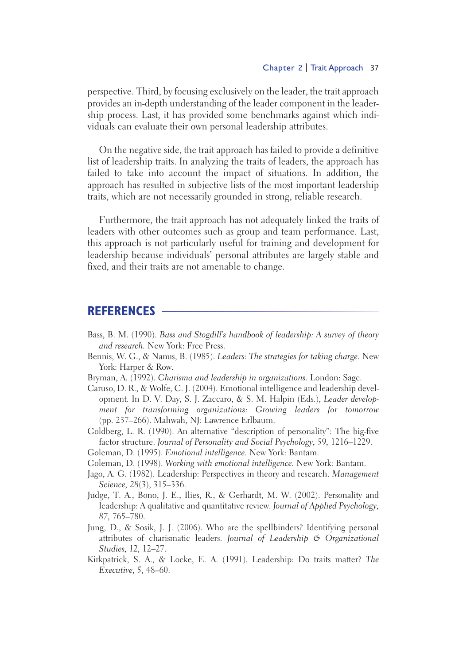perspective. Third, by focusing exclusively on the leader, the trait approach provides an in-depth understanding of the leader component in the leadership process. Last, it has provided some benchmarks against which individuals can evaluate their own personal leadership attributes.

On the negative side, the trait approach has failed to provide a definitive list of leadership traits. In analyzing the traits of leaders, the approach has failed to take into account the impact of situations. In addition, the approach has resulted in subjective lists of the most important leadership traits, which are not necessarily grounded in strong, reliable research.

Furthermore, the trait approach has not adequately linked the traits of leaders with other outcomes such as group and team performance. Last, this approach is not particularly useful for training and development for leadership because individuals' personal attributes are largely stable and fixed, and their traits are not amenable to change.

# **References**

- Bass, B. M. (1990). *Bass and Stogdill's handbook of leadership: A survey of theory and research.* New York: Free Press.
- Bennis, W. G., & Nanus, B. (1985). *Leaders: The strategies for taking charge.* New York: Harper & Row.
- Bryman, A. (1992). *Charisma and leadership in organizations.* London: Sage.
- Caruso, D. R., & Wolfe, C. J. (2004). Emotional intelligence and leadership development. In D. V. Day, S. J. Zaccaro, & S. M. Halpin (Eds.), *Leader development for transforming organizations: Growing leaders for tomorrow* (pp. 237–266). Mahwah, NJ: Lawrence Erlbaum.
- Goldberg, L. R. (1990). An alternative "description of personality": The big-five factor structure. *Journal of Personality and Social Psychology, 59,* 1216–1229.
- Goleman, D. (1995). *Emotional intelligence.* New York: Bantam.
- Goleman, D. (1998). *Working with emotional intelligence.* New York: Bantam.
- Jago, A. G. (1982). Leadership: Perspectives in theory and research. *Management Science, 28*(3), 315–336.
- Judge, T. A., Bono, J. E., Ilies, R., & Gerhardt, M. W. (2002). Personality and leadership: A qualitative and quantitative review. *Journal of Applied Psychology, 87,* 765–780.
- Jung, D., & Sosik, J. J. (2006). Who are the spellbinders? Identifying personal attributes of charismatic leaders. *Journal of Leadership & Organizational Studies, 12,* 12–27.
- Kirkpatrick, S. A., & Locke, E. A. (1991). Leadership: Do traits matter? *The Executive, 5,* 48–60.